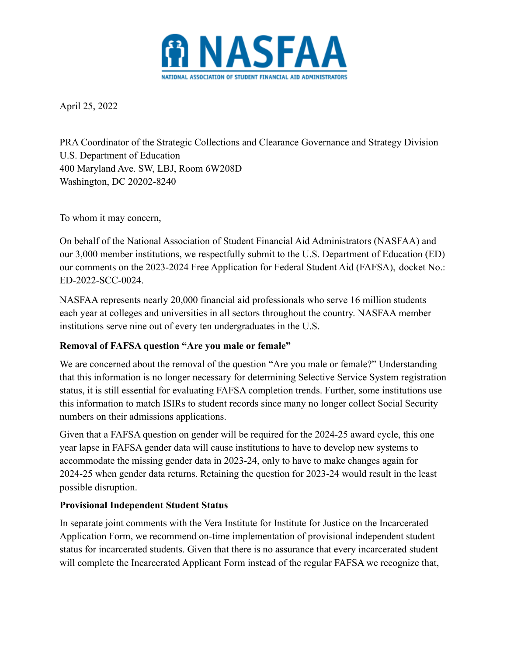

April 25, 2022

PRA Coordinator of the Strategic Collections and Clearance Governance and Strategy Division U.S. Department of Education 400 Maryland Ave. SW, LBJ, Room 6W208D Washington, DC 20202-8240

To whom it may concern,

On behalf of the National Association of Student Financial Aid Administrators (NASFAA) and our 3,000 member institutions, we respectfully submit to the U.S. Department of Education (ED) our comments on the 2023-2024 Free Application for Federal Student Aid (FAFSA), docket No.: ED-2022-SCC-0024.

NASFAA represents nearly 20,000 financial aid professionals who serve 16 million students each year at colleges and universities in all sectors throughout the country. NASFAA member institutions serve nine out of every ten undergraduates in the U.S.

## **Removal of FAFSA question "Are you male or female"**

We are concerned about the removal of the question "Are you male or female?" Understanding that this information is no longer necessary for determining Selective Service System registration status, it is still essential for evaluating FAFSA completion trends. Further, some institutions use this information to match ISIRs to student records since many no longer collect Social Security numbers on their admissions applications.

Given that a FAFSA question on gender will be required for the 2024-25 award cycle, this one year lapse in FAFSA gender data will cause institutions to have to develop new systems to accommodate the missing gender data in 2023-24, only to have to make changes again for 2024-25 when gender data returns. Retaining the question for 2023-24 would result in the least possible disruption.

## **Provisional Independent Student Status**

In separate joint comments with the Vera Institute for Institute for Justice on the Incarcerated Application Form, we recommend on-time implementation of provisional independent student status for incarcerated students. Given that there is no assurance that every incarcerated student will complete the Incarcerated Applicant Form instead of the regular FAFSA we recognize that,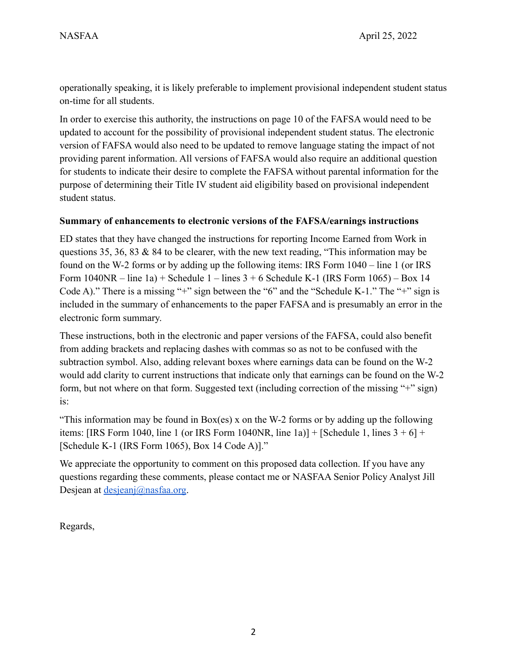operationally speaking, it is likely preferable to implement provisional independent student status on-time for all students.

In order to exercise this authority, the instructions on page 10 of the FAFSA would need to be updated to account for the possibility of provisional independent student status. The electronic version of FAFSA would also need to be updated to remove language stating the impact of not providing parent information. All versions of FAFSA would also require an additional question for students to indicate their desire to complete the FAFSA without parental information for the purpose of determining their Title IV student aid eligibility based on provisional independent student status.

## **Summary of enhancements to electronic versions of the FAFSA/earnings instructions**

ED states that they have changed the instructions for reporting Income Earned from Work in questions 35, 36, 83 & 84 to be clearer, with the new text reading, "This information may be found on the W-2 forms or by adding up the following items: IRS Form 1040 – line 1 (or IRS Form  $1040NR - line 1a$  + Schedule 1 – lines  $3 + 6$  Schedule K-1 (IRS Form  $1065$ ) – Box 14 Code A)." There is a missing "+" sign between the "6" and the "Schedule K-1." The "+" sign is included in the summary of enhancements to the paper FAFSA and is presumably an error in the electronic form summary.

These instructions, both in the electronic and paper versions of the FAFSA, could also benefit from adding brackets and replacing dashes with commas so as not to be confused with the subtraction symbol. Also, adding relevant boxes where earnings data can be found on the W-2 would add clarity to current instructions that indicate only that earnings can be found on the W-2 form, but not where on that form. Suggested text (including correction of the missing "+" sign) is:

"This information may be found in Box(es) x on the W-2 forms or by adding up the following items: [IRS Form 1040, line 1 (or IRS Form 1040NR, line 1a)] + [Schedule 1, lines  $3 + 6$ ] + [Schedule K-1 (IRS Form 1065), Box 14 Code A)]."

We appreciate the opportunity to comment on this proposed data collection. If you have any questions regarding these comments, please contact me or NASFAA Senior Policy Analyst Jill Desjean at [desjeanj@nasfaa.org](mailto:desjeanj@nasfaa.org).

Regards,